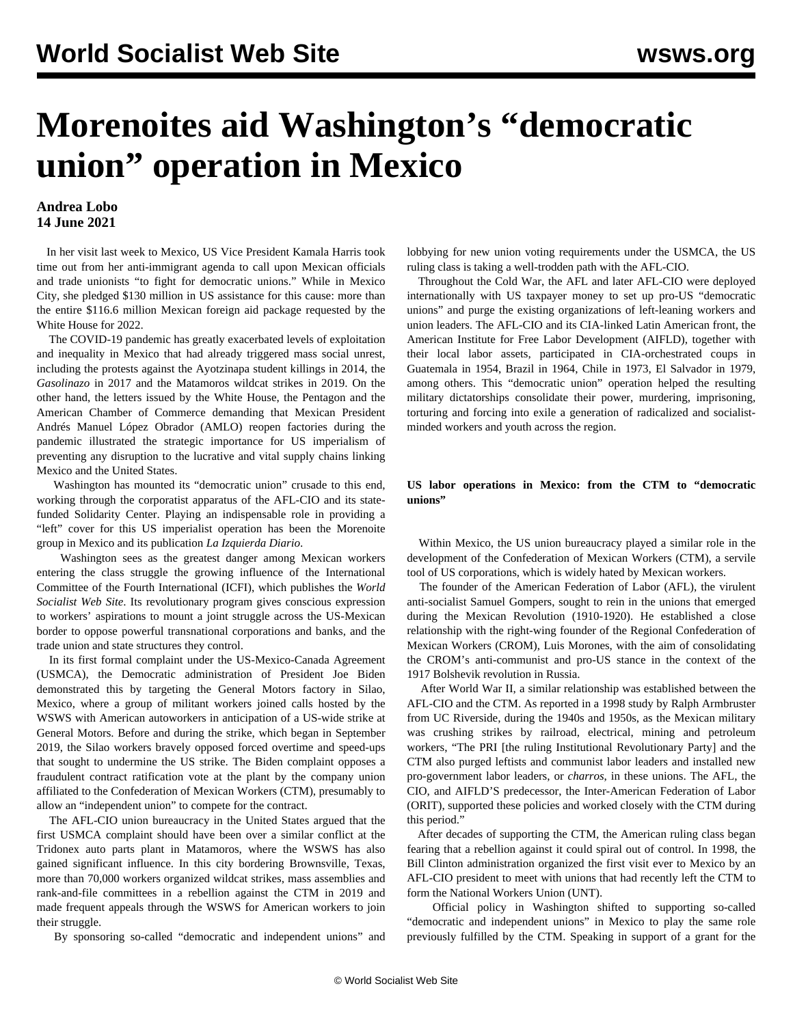# **Morenoites aid Washington's "democratic union" operation in Mexico**

## **Andrea Lobo 14 June 2021**

 In her visit last week to Mexico, US Vice President Kamala Harris took time out from her anti-immigrant agenda to call upon Mexican officials and trade unionists "to fight for democratic unions." While in Mexico City, she pledged \$130 million in US assistance for this cause: more than the entire \$116.6 million Mexican foreign aid package requested by the White House for 2022.

 The COVID-19 pandemic has greatly exacerbated levels of exploitation and inequality in Mexico that had already triggered mass social unrest, including the protests against the Ayotzinapa student killings in 2014, the *Gasolinazo* in 2017 and the Matamoros wildcat strikes in 2019. On the other hand, the letters issued by the White House, the Pentagon and the American Chamber of Commerce demanding that Mexican President Andrés Manuel López Obrador (AMLO) reopen factories during the pandemic illustrated the strategic importance for US imperialism of preventing any disruption to the lucrative and vital supply chains linking Mexico and the United States.

 Washington has mounted its "democratic union" crusade to this end, working through the corporatist apparatus of the AFL-CIO and its statefunded Solidarity Center. Playing an indispensable role in providing a "left" cover for this US imperialist operation has been the Morenoite group in Mexico and its publication *La Izquierda Diario*.

 Washington sees as the greatest danger among Mexican workers entering the class struggle the growing influence of the International Committee of the Fourth International (ICFI), which publishes the *World Socialist Web Site*. Its revolutionary program gives conscious expression to workers' aspirations to mount a joint struggle across the US-Mexican border to oppose powerful transnational corporations and banks, and the trade union and state structures they control.

 In its first formal complaint under the US-Mexico-Canada Agreement (USMCA), the Democratic administration of President Joe Biden demonstrated this by targeting the General Motors factory in Silao, Mexico, where a group of militant workers joined calls hosted by the WSWS with American autoworkers in anticipation of a US-wide strike at General Motors. Before and during the strike, which began in September 2019, the Silao workers bravely opposed forced overtime and speed-ups that sought to undermine the US strike. The Biden complaint opposes a fraudulent contract ratification vote at the plant by the company union affiliated to the Confederation of Mexican Workers (CTM), presumably to allow an "independent union" to compete for the contract.

 The AFL-CIO union bureaucracy in the United States argued that the first USMCA complaint should have been over a similar conflict at the Tridonex auto parts plant in Matamoros, where the WSWS has also gained significant influence. In this city bordering Brownsville, Texas, more than 70,000 workers organized wildcat strikes, mass assemblies and rank-and-file committees in a rebellion against the CTM in 2019 and made frequent appeals through the WSWS for American workers to join their struggle.

By sponsoring so-called "democratic and independent unions" and

lobbying for new union voting requirements under the USMCA, the US ruling class is taking a well-trodden path with the AFL-CIO.

 Throughout the Cold War, the AFL and later AFL-CIO were deployed internationally with US taxpayer money to set up pro-US "democratic unions" and purge the existing organizations of left-leaning workers and union leaders. The AFL-CIO and its CIA-linked Latin American front, the American Institute for Free Labor Development (AIFLD), together with their local labor assets, participated in CIA-orchestrated coups in Guatemala in 1954, Brazil in 1964, Chile in 1973, El Salvador in 1979, among others. This "democratic union" operation helped the resulting military dictatorships consolidate their power, murdering, imprisoning, torturing and forcing into exile a generation of radicalized and socialistminded workers and youth across the region.

### **US labor operations in Mexico: from the CTM to "democratic unions"**

 Within Mexico, the US union bureaucracy played a similar role in the development of the Confederation of Mexican Workers (CTM), a servile tool of US corporations, which is widely hated by Mexican workers.

 The founder of the American Federation of Labor (AFL), the virulent anti-socialist Samuel Gompers, sought to rein in the unions that emerged during the Mexican Revolution (1910-1920). He established a close relationship with the right-wing founder of the Regional Confederation of Mexican Workers (CROM), Luis Morones, with the aim of consolidating the CROM's anti-communist and pro-US stance in the context of the 1917 Bolshevik revolution in Russia.

 After World War II, a similar relationship was established between the AFL-CIO and the CTM. As reported in a 1998 study by Ralph Armbruster from UC Riverside, during the 1940s and 1950s, as the Mexican military was crushing strikes by railroad, electrical, mining and petroleum workers, "The PRI [the ruling Institutional Revolutionary Party] and the CTM also purged leftists and communist labor leaders and installed new pro-government labor leaders, or *charros*, in these unions. The AFL, the CIO, and AIFLD'S predecessor, the Inter-American Federation of Labor (ORIT), supported these policies and worked closely with the CTM during this period."

 After decades of supporting the CTM, the American ruling class began fearing that a rebellion against it could spiral out of control. In 1998, the Bill Clinton administration organized the first visit ever to Mexico by an AFL-CIO president to meet with unions that had recently left the CTM to form the National Workers Union (UNT).

 Official policy in Washington shifted to supporting so-called "democratic and independent unions" in Mexico to play the same role previously fulfilled by the CTM. Speaking in support of a grant for the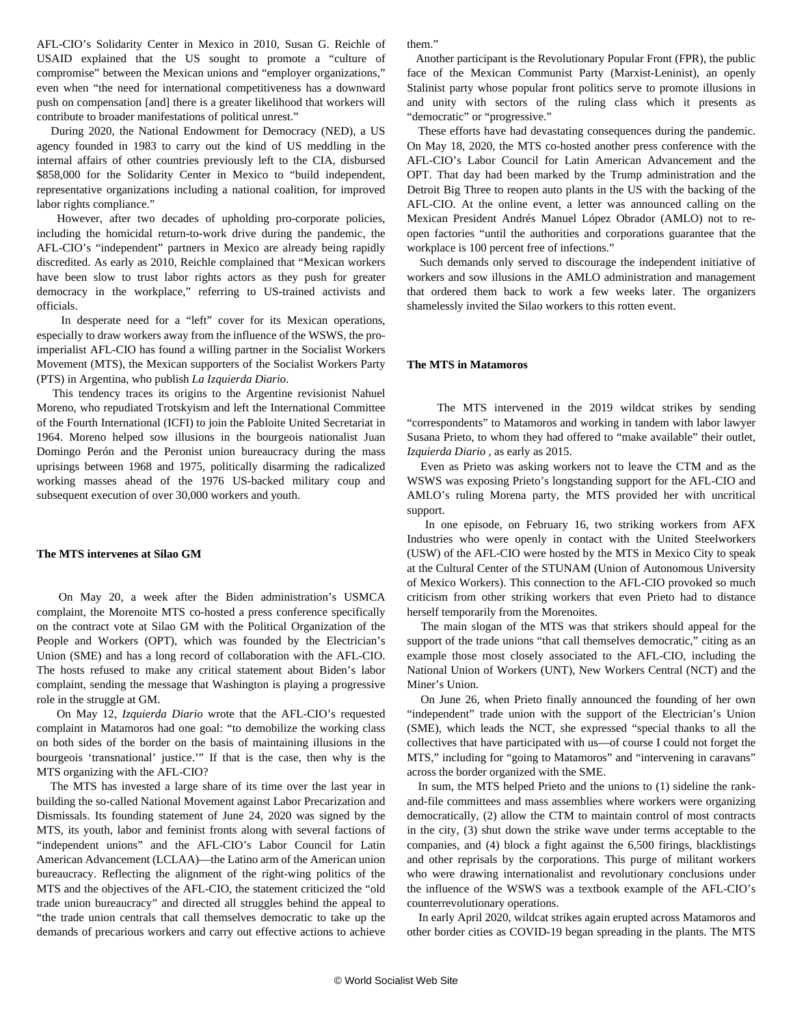AFL-CIO's Solidarity Center in Mexico in 2010, Susan G. Reichle of USAID explained that the US sought to promote a "culture of compromise" between the Mexican unions and "employer organizations," even when "the need for international competitiveness has a downward push on compensation [and] there is a greater likelihood that workers will contribute to broader manifestations of political unrest."

 During 2020, the National Endowment for Democracy (NED), a US agency founded in 1983 to carry out the kind of US meddling in the internal affairs of other countries previously left to the CIA, disbursed \$858,000 for the Solidarity Center in Mexico to "build independent, representative organizations including a national coalition, for improved labor rights compliance."

 However, after two decades of upholding pro-corporate policies, including the homicidal return-to-work drive during the pandemic, the AFL-CIO's "independent" partners in Mexico are already being rapidly discredited. As early as 2010, Reichle complained that "Mexican workers have been slow to trust labor rights actors as they push for greater democracy in the workplace," referring to US-trained activists and officials.

 In desperate need for a "left" cover for its Mexican operations, especially to draw workers away from the influence of the WSWS, the proimperialist AFL-CIO has found a willing partner in the Socialist Workers Movement (MTS), the Mexican supporters of the Socialist Workers Party (PTS) in Argentina, who publish *La Izquierda Diario*.

 This tendency traces its origins to the Argentine revisionist Nahuel Moreno, who repudiated Trotskyism and left the International Committee of the Fourth International (ICFI) to join the Pabloite United Secretariat in 1964. Moreno helped sow illusions in the bourgeois nationalist Juan Domingo Perón and the Peronist union bureaucracy during the mass uprisings between 1968 and 1975, politically disarming the radicalized working masses ahead of the 1976 US-backed military coup and subsequent execution of over 30,000 workers and youth.

#### **The MTS intervenes at Silao GM**

 On May 20, a week after the Biden administration's USMCA complaint, the Morenoite MTS co-hosted a press conference specifically on the contract vote at Silao GM with the Political Organization of the People and Workers (OPT), which was founded by the Electrician's Union (SME) and has a long record of collaboration with the AFL-CIO. The hosts refused to make any critical statement about Biden's labor complaint, sending the message that Washington is playing a progressive role in the struggle at GM.

 On May 12, *Izquierda Diario* wrote that the AFL-CIO's requested complaint in Matamoros had one goal: "to demobilize the working class on both sides of the border on the basis of maintaining illusions in the bourgeois 'transnational' justice.'" If that is the case, then why is the MTS organizing with the AFL-CIO?

 The MTS has invested a large share of its time over the last year in building the so-called National Movement against Labor Precarization and Dismissals. Its founding statement of June 24, 2020 was signed by the MTS, its youth, labor and feminist fronts along with several factions of "independent unions" and the AFL-CIO's Labor Council for Latin American Advancement (LCLAA)—the Latino arm of the American union bureaucracy. Reflecting the alignment of the right-wing politics of the MTS and the objectives of the AFL-CIO, the statement criticized the "old trade union bureaucracy" and directed all struggles behind the appeal to "the trade union centrals that call themselves democratic to take up the demands of precarious workers and carry out effective actions to achieve

them."

 Another participant is the Revolutionary Popular Front (FPR), the public face of the Mexican Communist Party (Marxist-Leninist), an openly Stalinist party whose popular front politics serve to promote illusions in and unity with sectors of the ruling class which it presents as "democratic" or "progressive."

 These efforts have had devastating consequences during the pandemic. On May 18, 2020, the MTS co-hosted another press conference with the AFL-CIO's Labor Council for Latin American Advancement and the OPT. That day had been marked by the Trump administration and the Detroit Big Three to reopen auto plants in the US with the backing of the AFL-CIO. At the online event, a letter was announced calling on the Mexican President Andrés Manuel López Obrador (AMLO) not to reopen factories "until the authorities and corporations guarantee that the workplace is 100 percent free of infections."

 Such demands only served to discourage the independent initiative of workers and sow illusions in the AMLO administration and management that ordered them back to work a few weeks later. The organizers shamelessly invited the Silao workers to this rotten event.

#### **The MTS in Matamoros**

 The MTS intervened in the 2019 wildcat strikes by sending "correspondents" to Matamoros and working in tandem with labor lawyer Susana Prieto, to whom they had offered to "make available" their outlet, *Izquierda Diario ,* as early as 2015.

 Even as Prieto was asking workers not to leave the CTM and as the WSWS was exposing Prieto's longstanding support for the AFL-CIO and AMLO's ruling Morena party, the MTS provided her with uncritical support.

 In one episode, on February 16, two striking workers from AFX Industries who were openly in contact with the United Steelworkers (USW) of the AFL-CIO were hosted by the MTS in Mexico City to speak at the Cultural Center of the STUNAM (Union of Autonomous University of Mexico Workers). This connection to the AFL-CIO provoked so much criticism from other striking workers that even Prieto had to distance herself temporarily from the Morenoites.

 The main slogan of the MTS was that strikers should appeal for the support of the trade unions "that call themselves democratic," citing as an example those most closely associated to the AFL-CIO, including the National Union of Workers (UNT), New Workers Central (NCT) and the Miner's Union.

 On June 26, when Prieto finally announced the founding of her own "independent" trade union with the support of the Electrician's Union (SME), which leads the NCT, she expressed "special thanks to all the collectives that have participated with us—of course I could not forget the MTS," including for "going to Matamoros" and "intervening in caravans" across the border organized with the SME.

 In sum, the MTS helped Prieto and the unions to (1) sideline the rankand-file committees and mass assemblies where workers were organizing democratically, (2) allow the CTM to maintain control of most contracts in the city, (3) shut down the strike wave under terms acceptable to the companies, and (4) block a fight against the 6,500 firings, blacklistings and other reprisals by the corporations. This purge of militant workers who were drawing internationalist and revolutionary conclusions under the influence of the WSWS was a textbook example of the AFL-CIO's counterrevolutionary operations.

 In early April 2020, wildcat strikes again erupted across Matamoros and other border cities as COVID-19 began spreading in the plants. The MTS